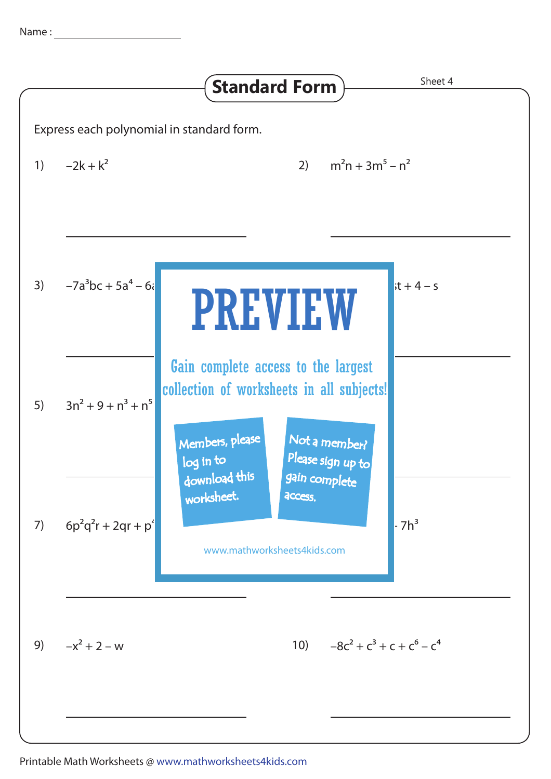